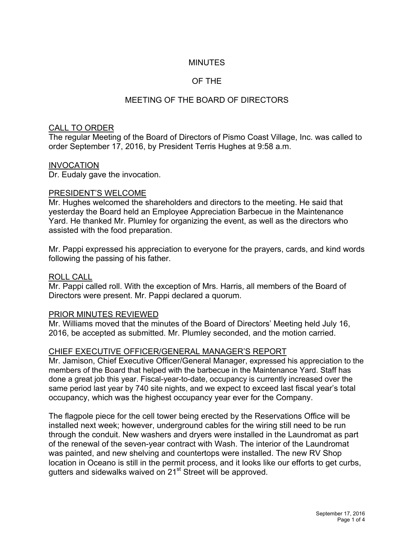# MINUTES

# OF THE

# MEETING OF THE BOARD OF DIRECTORS

#### CALL TO ORDER

The regular Meeting of the Board of Directors of Pismo Coast Village, Inc. was called to order September 17, 2016, by President Terris Hughes at 9:58 a.m.

#### INVOCATION

Dr. Eudaly gave the invocation.

#### PRESIDENT'S WELCOME

Mr. Hughes welcomed the shareholders and directors to the meeting. He said that yesterday the Board held an Employee Appreciation Barbecue in the Maintenance Yard. He thanked Mr. Plumley for organizing the event, as well as the directors who assisted with the food preparation.

Mr. Pappi expressed his appreciation to everyone for the prayers, cards, and kind words following the passing of his father.

#### ROLL CALL

Mr. Pappi called roll. With the exception of Mrs. Harris, all members of the Board of Directors were present. Mr. Pappi declared a quorum.

## PRIOR MINUTES REVIEWED

Mr. Williams moved that the minutes of the Board of Directors' Meeting held July 16, 2016, be accepted as submitted. Mr. Plumley seconded, and the motion carried.

## CHIEF EXECUTIVE OFFICER/GENERAL MANAGER'S REPORT

Mr. Jamison, Chief Executive Officer/General Manager, expressed his appreciation to the members of the Board that helped with the barbecue in the Maintenance Yard. Staff has done a great job this year. Fiscal-year-to-date, occupancy is currently increased over the same period last year by 740 site nights, and we expect to exceed last fiscal year's total occupancy, which was the highest occupancy year ever for the Company.

The flagpole piece for the cell tower being erected by the Reservations Office will be installed next week; however, underground cables for the wiring still need to be run through the conduit. New washers and dryers were installed in the Laundromat as part of the renewal of the seven-year contract with Wash. The interior of the Laundromat was painted, and new shelving and countertops were installed. The new RV Shop location in Oceano is still in the permit process, and it looks like our efforts to get curbs, gutters and sidewalks waived on 21<sup>st</sup> Street will be approved.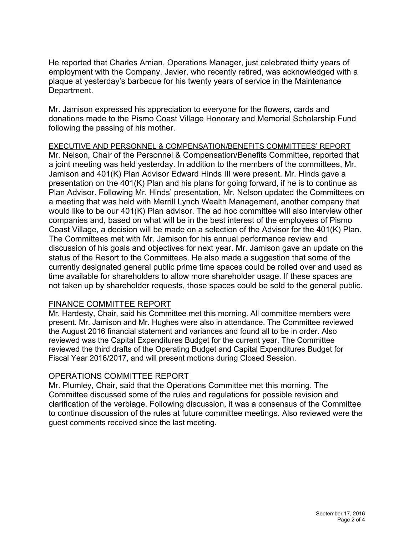He reported that Charles Amian, Operations Manager, just celebrated thirty years of employment with the Company. Javier, who recently retired, was acknowledged with a plaque at yesterday's barbecue for his twenty years of service in the Maintenance Department.

Mr. Jamison expressed his appreciation to everyone for the flowers, cards and donations made to the Pismo Coast Village Honorary and Memorial Scholarship Fund following the passing of his mother.

EXECUTIVE AND PERSONNEL & COMPENSATION/BENEFITS COMMITTEES' REPORT Mr. Nelson, Chair of the Personnel & Compensation/Benefits Committee, reported that a joint meeting was held yesterday. In addition to the members of the committees, Mr. Jamison and 401(K) Plan Advisor Edward Hinds III were present. Mr. Hinds gave a presentation on the 401(K) Plan and his plans for going forward, if he is to continue as Plan Advisor. Following Mr. Hinds' presentation, Mr. Nelson updated the Committees on a meeting that was held with Merrill Lynch Wealth Management, another company that would like to be our 401(K) Plan advisor. The ad hoc committee will also interview other companies and, based on what will be in the best interest of the employees of Pismo Coast Village, a decision will be made on a selection of the Advisor for the 401(K) Plan. The Committees met with Mr. Jamison for his annual performance review and discussion of his goals and objectives for next year. Mr. Jamison gave an update on the status of the Resort to the Committees. He also made a suggestion that some of the currently designated general public prime time spaces could be rolled over and used as time available for shareholders to allow more shareholder usage. If these spaces are not taken up by shareholder requests, those spaces could be sold to the general public.

## FINANCE COMMITTEE REPORT

Mr. Hardesty, Chair, said his Committee met this morning. All committee members were present. Mr. Jamison and Mr. Hughes were also in attendance. The Committee reviewed the August 2016 financial statement and variances and found all to be in order. Also reviewed was the Capital Expenditures Budget for the current year. The Committee reviewed the third drafts of the Operating Budget and Capital Expenditures Budget for Fiscal Year 2016/2017, and will present motions during Closed Session.

## OPERATIONS COMMITTEE REPORT

Mr. Plumley, Chair, said that the Operations Committee met this morning. The Committee discussed some of the rules and regulations for possible revision and clarification of the verbiage. Following discussion, it was a consensus of the Committee to continue discussion of the rules at future committee meetings. Also reviewed were the guest comments received since the last meeting.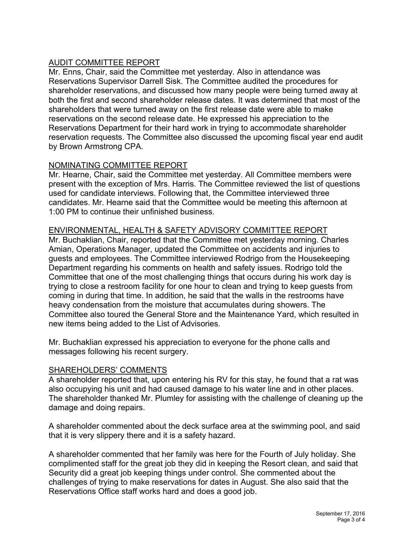# AUDIT COMMITTEE REPORT

Mr. Enns, Chair, said the Committee met yesterday. Also in attendance was Reservations Supervisor Darrell Sisk. The Committee audited the procedures for shareholder reservations, and discussed how many people were being turned away at both the first and second shareholder release dates. It was determined that most of the shareholders that were turned away on the first release date were able to make reservations on the second release date. He expressed his appreciation to the Reservations Department for their hard work in trying to accommodate shareholder reservation requests. The Committee also discussed the upcoming fiscal year end audit by Brown Armstrong CPA.

## NOMINATING COMMITTEE REPORT

Mr. Hearne, Chair, said the Committee met yesterday. All Committee members were present with the exception of Mrs. Harris. The Committee reviewed the list of questions used for candidate interviews. Following that, the Committee interviewed three candidates. Mr. Hearne said that the Committee would be meeting this afternoon at 1:00 PM to continue their unfinished business.

# ENVIRONMENTAL, HEALTH & SAFETY ADVISORY COMMITTEE REPORT

Mr. Buchaklian, Chair, reported that the Committee met yesterday morning. Charles Amian, Operations Manager, updated the Committee on accidents and injuries to guests and employees. The Committee interviewed Rodrigo from the Housekeeping Department regarding his comments on health and safety issues. Rodrigo told the Committee that one of the most challenging things that occurs during his work day is trying to close a restroom facility for one hour to clean and trying to keep guests from coming in during that time. In addition, he said that the walls in the restrooms have heavy condensation from the moisture that accumulates during showers. The Committee also toured the General Store and the Maintenance Yard, which resulted in new items being added to the List of Advisories.

Mr. Buchaklian expressed his appreciation to everyone for the phone calls and messages following his recent surgery.

# SHAREHOLDERS' COMMENTS

A shareholder reported that, upon entering his RV for this stay, he found that a rat was also occupying his unit and had caused damage to his water line and in other places. The shareholder thanked Mr. Plumley for assisting with the challenge of cleaning up the damage and doing repairs.

A shareholder commented about the deck surface area at the swimming pool, and said that it is very slippery there and it is a safety hazard.

A shareholder commented that her family was here for the Fourth of July holiday. She complimented staff for the great job they did in keeping the Resort clean, and said that Security did a great job keeping things under control. She commented about the challenges of trying to make reservations for dates in August. She also said that the Reservations Office staff works hard and does a good job.